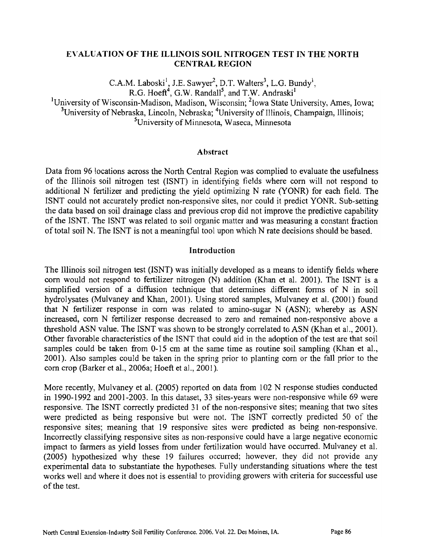## **E\'ALUATIOX OF THE ILLINOIS SOIL NITROGEN TEST IR' THE NORTH CENTRAL REGION**

 $C.A.M.$  Laboski<sup>1</sup>, J.E. Sawyer<sup>2</sup>, D.T. Walters<sup>3</sup>, L.G. Bundy<sup>1</sup>,  $R.G. Hoef<sup>4</sup>$ , G.W. Randall<sup>5</sup>, and T.W. Andraski<sup>1</sup>

<sup>1</sup>University of Wisconsin-Madison, Madison, Wisconsin; <sup>2</sup>lowa State University, Ames, Iowa; <sup>3</sup>University of Nebraska, Lincoln, Nebraska; <sup>4</sup>University of Illinois, Champaign, Illinois; <sup>5</sup>University of Minnesota, Waseca, Minnesota

### **Abstract**

Data from 96 locations across the North Central Region was complied to evaluate the usefulness of the Illinois soil nitrogen test (ISNT) in identifying fields where corn will not respond to additional N fertilizer and predicting the yield optimizing N rate (YONR) for each field. The ISNT could not accurately predict non-responsive sites, nor could it predict YONR. Sub-setting the data based on soil drainage class and previous crop did not improve the predictive capability of the ISNT. The ISNT was related to soil organic matter and was measuring a constant fraction of total soil N. The ISNT is not a meaningful tool upon which N rate decisions should be based.

### **Introduction**

The Illinois soil nitrogen test (ISNT) was initially developed as a means to identify fields where **corn** would not respond to fertilizer nitrogen (N) addition (Khan et al. 2001). The ISNT is a simplified version of a diffusion technique that determines different forms of N in soil hydrolysates (Mulvaney and Khan, 2001). Using stored samples, Mulvaney et al. (2001) found that N fertilizer response in **corn** was related to amino-sugar N (ASN); whereby as ASN increased, corn N fertilizer response decreased to zero and remained non-responsive above a threshold ASN value. The ISNT was shown to be strongly correlated to ASN (Khan et al., 2001). Other favorable characteristics of the ISNT that could aid in the adoption of the test are that soil samples could be taken from 0-15 cm at the same time as routine soil sampling (Khan et al., 2001). Also samples could be taken in the spring prior to planting corn or the fall prior to the corn crop (Barker et al., 2006a; Hoeft et al., 2001).

More recently, Mulvaney et al. (2005) reported on data fiom 102 N response studies conducted in 1990-1992 and 2001-2003. In this dataset, **33** sites-years were non-responsive while 69 were responsive. The ISNT correctly predicted 31 of the non-responsive sites; meaning that two sites were predicted as being responsive but were not. The ISNT correctly predicted 50 of the responsive sites; meaning that 19 responsive sites were predicted as being non-responsive. Incorrectly classifying responsive sites as non-responsive could have a large negative economic impact to farmers as yield losses fiom under fertilization would have occurred. Mulvaney et al. (2005) hypothesized why these 19 failures occurred; however, they did not provide any experimental data to substantiate the hypotheses. Fully understanding situations where the test works well and where it does not is essential to providing growers with criteria for successful use of the test.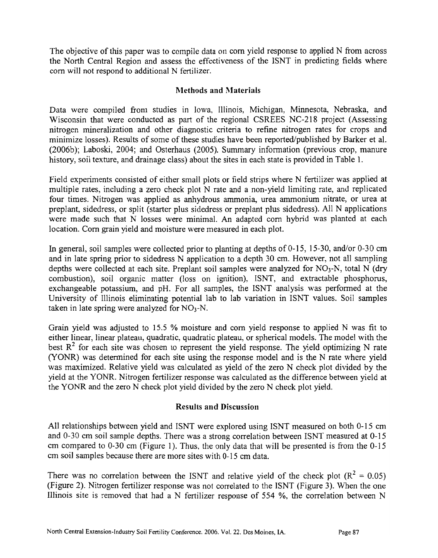The objective of this paper was to compile data on corn yield response to applied N from across the North Central Region and assess the effectiveness of the ISNT in predicting fields where corn will not respond to additional N fertilizer.

# **Methods and Materials**

Data were compiled from studies in Iowa, Illinois, Michigan, Minnesota, Nebraska, and Wisconsin that were conducted as part of the regional CSREES NC-218 project (Assessing nitrogen mineralization and other diagnostic criteria to refine nitrogen rates for crops and minimize losses). Results of some of these studies have been reported/published by Barker et al. (2006b); Laboski, 2004; and Osterhaus (2005). Summary information (previous crop, manure history, soil texture, and drainage class) about the sites in each state is provided in Table 1.

Field experiments consisted of either small plots or field strips where N fertilizer was applied at multiple rates, including a zero check plot N rate and a non-yield limiting rate, and replicated four times. Nitrogen was applied as anhydrous ammonia, urea ammonium nitrate, or urea at preplant, sidedress, or split (starter plus sidedress or preplant plus sidedress). All N applications were made such that N losses were minimal. **An** adapted corn hybrid was planted at each location. Corn grain yield and moisture were measured in each plot.

In general, soil samples were collected prior to planting at depths of  $0-15$ , 15-30, and/or  $0-30$  cm and in late spring prior to sidedress N application to a depth 30 cm. However, not all sampling depths were collected at each site. Preplant soil samples were analyzed for  $NO<sub>3</sub>-N$ , total N (dry combustion), soil organic matter (loss on ignition), ISNT, and extractable phosphorus, exchangeable potassium, and pH. For all samples, the ISNT analysis was performed at the University of Illinois eliminating potential lab to lab variation in ISNT values. Soil samples taken in late spring were analyzed for  $NO_3-N$ .

Grain yield was adjusted to 15.5 % moisture and corn yield response to applied **h'** was fit to either linear, linear plateau, quadratic, quadratic plateau, or spherical models. The model with the best  $R^2$  for each site was chosen to represent the yield response. The yield optimizing N rate (YONR) was determined for each site using the response model and is the N rate where yield was maximized. Relative yield was calculated as yield of the zero N check plot divided by the yield at the YONR. Nitrogen fertilizer response was calculated as the difference between yield at the YONR and the zero N check plot yield divided by the zero N check plot yield.

# **Results and Discussiorl**

All relationships between yield and ISNT were explored using ISNT measured on both 0-15 cm and 0-30 cm soil sample depths. There was a strong correlation between ISNT measured at 0-15 cm compared to 0-30 cm (Figure 1). Thus, the only data that will be presented is from the 0-15 **crn** soil samples because there are more sites with 0-1 *5* cm data.

There was no correlation between the ISNT and relative yield of the check plot  $(R^2 = 0.05)$ (Figure 2). Nitrogen fertilizer response was not correlated to the ISNT (Figure 3). When the one Lllinois site is removed that had a N fertilizer response of 554 %, the correlation between N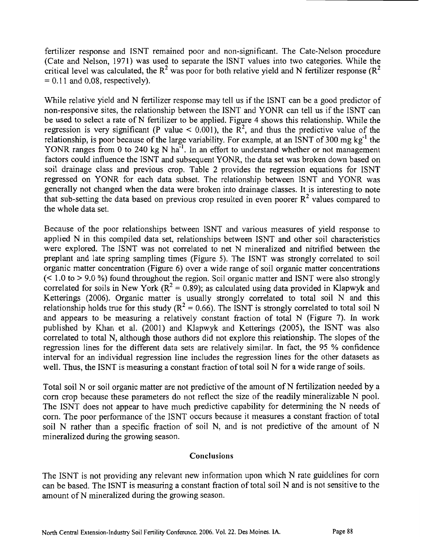fertilizer response and ISNT remained poor and non-significant. The Cate-Nelson procedure (Cate and Nelson, 1971) was used to separate the ISNT values into two categories. While the critical level was calculated, the  $R^2$  was poor for both relative yield and N fertilizer response ( $R^2$ )  $= 0.11$  and 0.08, respectively).

While relative yield and N fertilizer response may tell us if the ISNT can be a good predictor of non-responsive sites, the relationship between the ISNT and YONR can tell us if the ISNT can be used to select a rate of **N** fertilizer to be applied. Figure 4 shows this relationship. While the regression is very significant (P value  $\leq$  0.001), the R<sup>2</sup>, and thus the predictive value of the relationship, is poor because of the large variability. For example, at an ISNT of 300 mg  $kg^{-1}$  the YONR ranges from 0 to 240 kg N  $\text{ha}^{-1}$ . In an effort to understand whether or not management factors could influence the ISNT and subsequent YONR, the data set was broken down based on soil drainage class and previous crop. Table 2 provides the regression equations for ISNT regressed on YONR for each data subset. The relationship between ISNT and YONR was generally not changed when the data were broken into drainage classes. It is interesting to note that sub-setting the data based on previous crop resulted in even poorer  $R^2$  values compared to the whole data set.

Because of the poor relationships between ISNT and various measures of yield response to applied N in this compiled data set, relationships between ISNT and other soil characteristics were explored. The ISNT was not correlated to net N mineralized and nitrified between the preplant and late spring sampling times (Figure 5). The ISNT was strongly correlated to soil organic matter concentration (Figure 6) over a wide range of soil organic matter concentrations  $(< 1.0$  to  $> 9.0$  %) found throughout the region. Soil organic matter and ISNT were also strongly correlated for soils in New York ( $R^2 = 0.89$ ); as calculated using data provided in Klapwyk and Ketterings (2006). Organic matter is usually strongly correlated to total soil N and this relationship holds true for this study ( $R^2 = 0.66$ ). The ISNT is strongly correlated to total soil N and appears to be measuring a relatively constant fraction of total N (Figure 7). In work published by Khan et al. (2001) and Klapwyk and Ketterings (2005), the ISNT was also correlated to total N, although those authors did not explore this relationship. The slopes of the regression lines for the different data sets are relatively similar. **In** fact, the 95 % confidence interval for an individual regression line includes the regression lines for the other datasets as well. Thus, the ISNT is measuring a constant fraction of total soil N for a wide range of soils.

Total soil N or soil organic matter are not predictive of the amount of N fertilization needed by a corn crop because these parameters do not reflect the size of the readily mineralizable N pool. The ISNT does not appear to have much predictive capability for determining the N needs of corn. The poor performance of the ISNT occurs because it measures a constant fraction of total soil N rather than a specific fraction of soil N, and is not predictive of the amount of N mineralized during the growing season.

#### **Conclusions**

The ISNT is not providing any relevant new information upon which N rate guidelines for corn can be based. The ISNT is measuring a constant fraction of total soil N and is not sensitive to the amount of N mineralized during the growing season.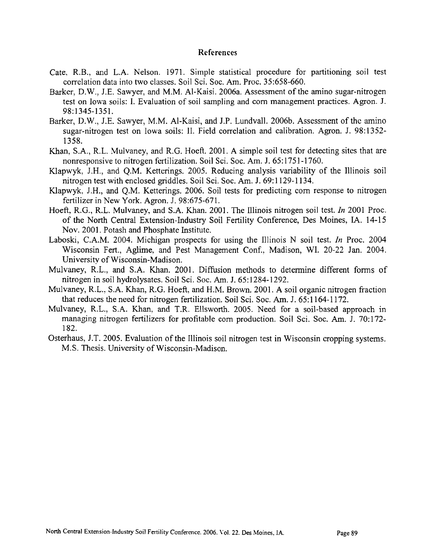#### **References**

- Cate. R.B., and L.A. Nelson. 1971. Simple statistical procedure for partitioning soil test correlation data into two classes. Soil Sci. Soc. **Am.** Proc. 35:658-660.
- Barker. D.W., J.E. Sawyer. and M.M. Al-Kaisi. 2006a. Assessment of the amino sugar-nitrogen test on Iowa soils: I. Evaluation of soil sarnpling and corn management practices. Agon. J. 98:1345-1351.
- Barker, D.W., J.E. Sawyer, M.M. Al-Kaisi, and J.P. Lundvall. 2006b. Assessment of the amino sugar-nitrogen test on Iowa soils: 11. Field correlation and calibration. Agron. J. 98:1352- 1358.
- Khan, S.A., R.L. Mulvaney. and R.G. Hoefi. 2001. A simple soil test for detecting sites that are nonresponsive to nitrogen fertilization. Soil Sci. Soc. **Am.** J. 65: 175 1 - 1760.
- Klapwyk, J.H., and Q.M. Ketterings. 2005. Reducing analysis variability of the Illinois soil nitrogen test with enclosed griddles. Soil Sci. Soc. **Am.** J. 69: 1129-1 134.
- Klapwyk, J.H., and Q.M. Ketterings. 2006. Soil tests for predicting corn response to nitrogen fertilizer in New York. Agron. J. 98:675-671.
- Hoefi. R.G., R.L. Mulvaney. and S.A. Khan. 2001. The Illinois nitrogen soil test. In 2001 Proc. of the North Central Extension-Industry Soil Fertility Conference, Des Moines, **IA.** 14-15 Nov. 2001. Potash and Phosphate Institute.
- Laboski, C.A.M. 2004. Michigan prospects for using the Illinois N soil test. *In* Proc. 2004 Wisconsin Fert., Aglime, and Pest Management Conf., Madison, Wl. 20-22 Jan. 2004. University of Wisconsin-Madison.
- Mulvaney, R.L., and S.A. Khan. 2001. Diffusion methods to determine different forms of nitrogen in soil hydrolysates. Soil Sci. Soc. **Am.** J. 65: 1284- 1292.
- Mulvaney, R.L.. S.A. Khan, R.G. Hoeft, and H.M. Brown. 2001. A soil organic nitrogen fraction that reduces the need for nitrogen fertilization. Soil Sci. Soc. **Am.** J. 65: 1 164- 1 172.
- Mulvaney, R.L., S.A. Khan, and T.R. Ellsworth. 2005. Need for a soil-based approach in managing nitrogen fertilizers for profitable corn production. Soil Sci. Soc. **Am.** J. 70: 172- 182.
- Osterhaus, J.T. 2005. Evaluation of the Illinois soil nitrogen test in Wisconsin cropping systems. M.S. Thesis. University of Wisconsin-Madison.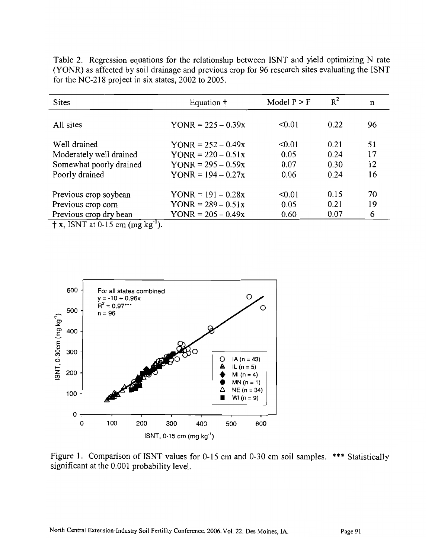| n  |
|----|
| 96 |
| 51 |
| 17 |
| 12 |
| 16 |
| 70 |
| 19 |
| 6  |
|    |

Table 2. Regression equations for the relationship between ISNT and yield optimizing N rate (YOYR) as affected by soil drainage and previous crop for 96 research sites evaluating the ISNT for the NC-218 project in six states, 2002 to 2005.

 $\dagger$  x, ISNT at 0-15 cm (mg  $kg^{-1}$ ).



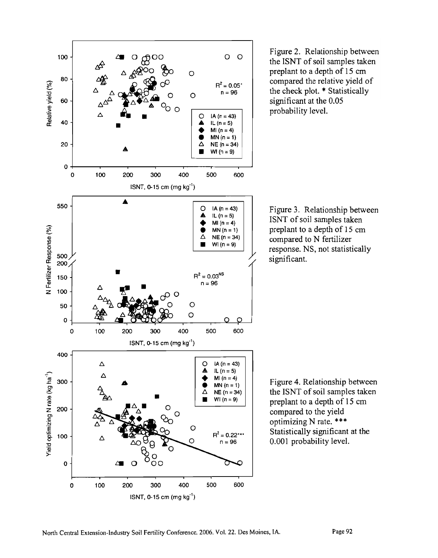

Figure 2. Relationship between the ISNT of soil samples taken preplant to a depth of 15 cm compared the relative yield of the check plot. \* Statistically significant at the 0.05 probability level.



Figure 4. Relationship between the ISNT of soil samples taken preplant to a depth of 15 cm compared to the yield optimizing N rate. \*\*\* Statistically significant at the 0.001 probability level.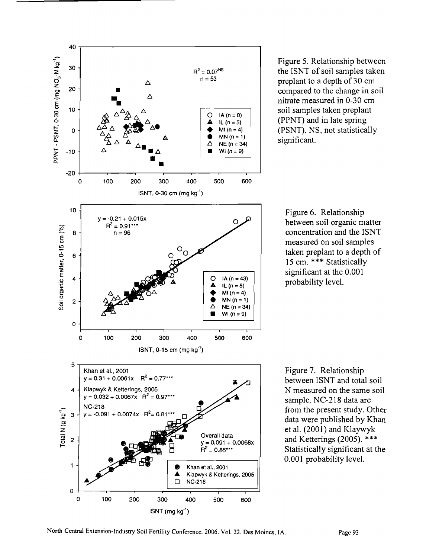

Figure 5. Relationship between the ISNT of soil samples taken preplant to a depth of 30 cm compared to the change in soil nitrate measured in 0-30 cm soil samples taken preplant **(PPhT)** and in late spring (PSNT). NS, not statistically significant.

Figure 6. Relationship between soil organic matter concentration and the ISNT measured on soil samples taken preplant to a depth of 15 cm. \*\*\* Statistically significant at the 0.001 probability level.

Figure 7. Relationship between ISNT and total soil N measured on the same soil sample. NC-218 data are from the present study. Other data were published by Khan et a]. (2001) and Klaywyk and Ketterings (2005). \*\*\* Statistically significant at the 0.001 probability level.